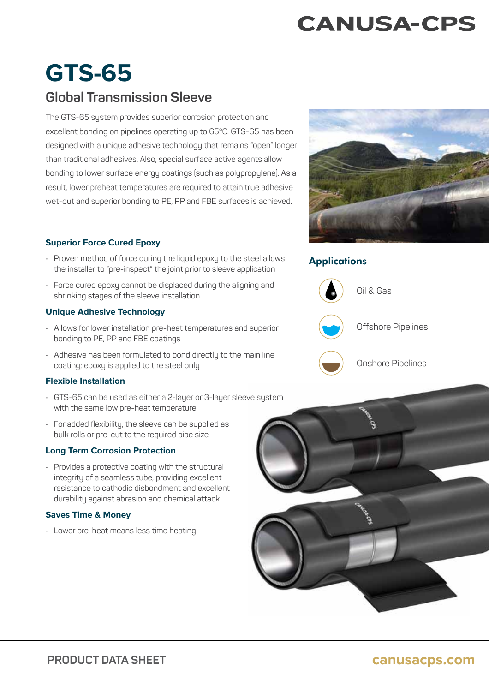## **CANUSA-CPS**

# **GTS-65**

## **Global Transmission Sleeve**

The GTS-65 system provides superior corrosion protection and excellent bonding on pipelines operating up to 65°C. GTS-65 has been designed with a unique adhesive technology that remains "open" longer than traditional adhesives. Also, special surface active agents allow bonding to lower surface energy coatings (such as polypropylene). As a result, lower preheat temperatures are required to attain true adhesive wet-out and superior bonding to PE, PP and FBE surfaces is achieved.

## **Superior Force Cured Epoxy**

- Proven method of force curing the liquid epoxy to the steel allows the installer to "pre-inspect" the joint prior to sleeve application
- Force cured epoxy cannot be displaced during the aligning and shrinking stages of the sleeve installation

## **Unique Adhesive Technology**

- Allows for lower installation pre-heat temperatures and superior bonding to PE, PP and FBE coatings
- Adhesive has been formulated to bond directly to the main line coating; epoxy is applied to the steel only

## **Flexible Installation**

- GTS-65 can be used as either a 2-layer or 3-layer sleeve system with the same low pre-heat temperature
- $\cdot$  For added flexibility, the sleeve can be supplied as bulk rolls or pre-cut to the required pipe size

## **Long Term Corrosion Protection**

• Provides a protective coating with the structural integrity of a seamless tube, providing excellent resistance to cathodic disbondment and excellent durability against abrasion and chemical attack

## **Saves Time & Money**

• Lower pre-heat means less time heating



## **Applications**